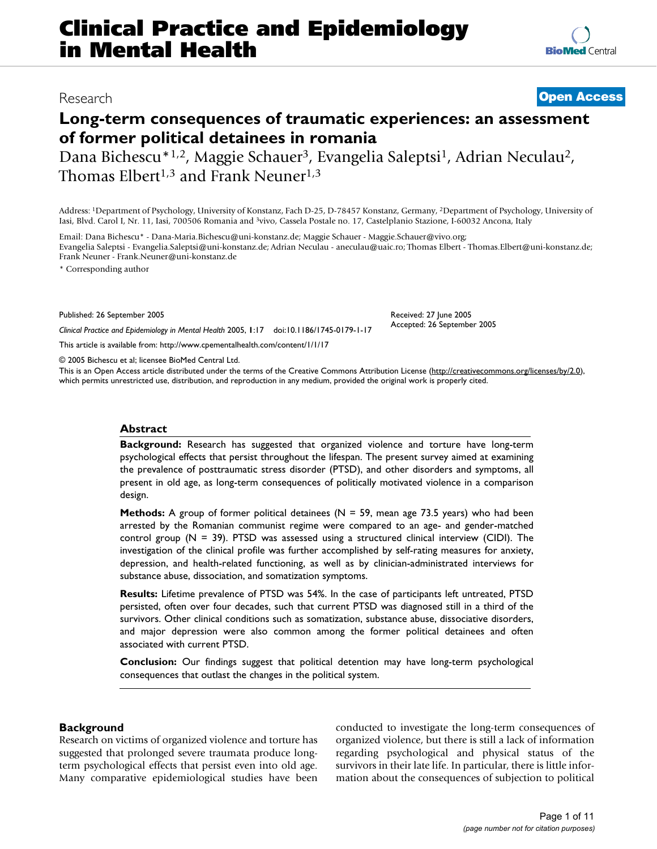# **Clinical Practice and Epidemiology in Mental Health**

# Research **[Open Access](http://www.biomedcentral.com/info/about/charter/)**

**[BioMed](http://www.biomedcentral.com/)** Central

# **Long-term consequences of traumatic experiences: an assessment of former political detainees in romania**

Dana Bichescu<sup>\*1,2</sup>, Maggie Schauer<sup>3</sup>, Evangelia Saleptsi<sup>1</sup>, Adrian Neculau<sup>2</sup>, Thomas Elbert<sup>1,3</sup> and Frank Neuner<sup>1,3</sup>

Address: 1Department of Psychology, University of Konstanz, Fach D-25, D-78457 Konstanz, Germany, 2Department of Psychology, University of Iasi, Blvd. Carol I, Nr. 11, Iasi, 700506 Romania and 3vivo, Cassela Postale no. 17, Castelplanio Stazione, I-60032 Ancona, Italy

Email: Dana Bichescu\* - Dana-Maria.Bichescu@uni-konstanz.de; Maggie Schauer - Maggie.Schauer@vivo.org; Evangelia Saleptsi - Evangelia.Saleptsi@uni-konstanz.de; Adrian Neculau - aneculau@uaic.ro; Thomas Elbert - Thomas.Elbert@uni-konstanz.de; Frank Neuner - Frank.Neuner@uni-konstanz.de

> Received: 27 June 2005 Accepted: 26 September 2005

\* Corresponding author

Published: 26 September 2005

*Clinical Practice and Epidemiology in Mental Health* 2005, **1**:17 doi:10.1186/1745-0179-1-17

[This article is available from: http://www.cpementalhealth.com/content/1/1/17](http://www.cpementalhealth.com/content/1/1/17)

© 2005 Bichescu et al; licensee BioMed Central Ltd.

This is an Open Access article distributed under the terms of the Creative Commons Attribution License [\(http://creativecommons.org/licenses/by/2.0\)](http://creativecommons.org/licenses/by/2.0), which permits unrestricted use, distribution, and reproduction in any medium, provided the original work is properly cited.

#### **Abstract**

**Background:** Research has suggested that organized violence and torture have long-term psychological effects that persist throughout the lifespan. The present survey aimed at examining the prevalence of posttraumatic stress disorder (PTSD), and other disorders and symptoms, all present in old age, as long-term consequences of politically motivated violence in a comparison design.

**Methods:** A group of former political detainees (N = 59, mean age 73.5 years) who had been arrested by the Romanian communist regime were compared to an age- and gender-matched control group ( $N = 39$ ). PTSD was assessed using a structured clinical interview (CIDI). The investigation of the clinical profile was further accomplished by self-rating measures for anxiety, depression, and health-related functioning, as well as by clinician-administrated interviews for substance abuse, dissociation, and somatization symptoms.

**Results:** Lifetime prevalence of PTSD was 54%. In the case of participants left untreated, PTSD persisted, often over four decades, such that current PTSD was diagnosed still in a third of the survivors. Other clinical conditions such as somatization, substance abuse, dissociative disorders, and major depression were also common among the former political detainees and often associated with current PTSD.

**Conclusion:** Our findings suggest that political detention may have long-term psychological consequences that outlast the changes in the political system.

#### **Background**

Research on victims of organized violence and torture has suggested that prolonged severe traumata produce longterm psychological effects that persist even into old age. Many comparative epidemiological studies have been conducted to investigate the long-term consequences of organized violence, but there is still a lack of information regarding psychological and physical status of the survivors in their late life. In particular, there is little information about the consequences of subjection to political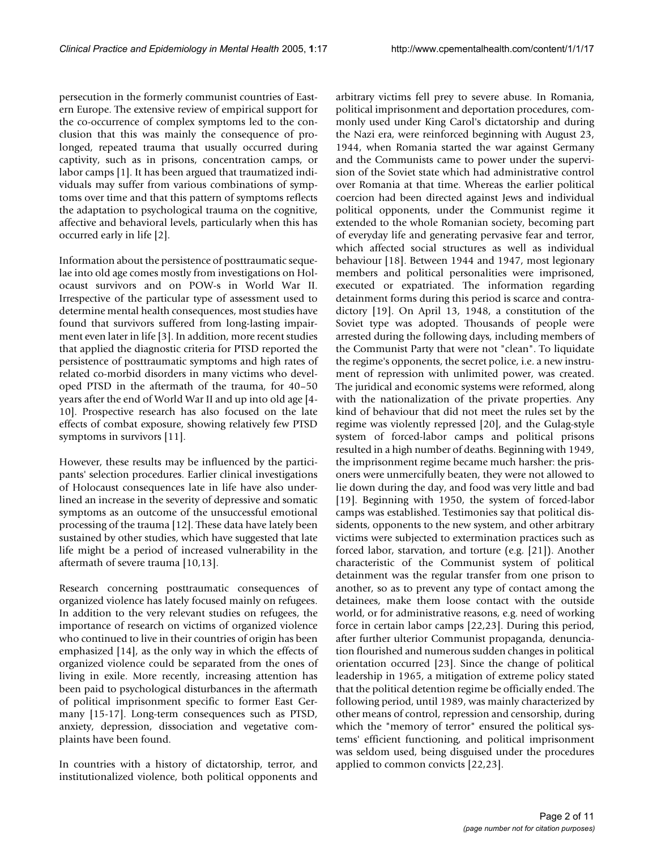persecution in the formerly communist countries of Eastern Europe. The extensive review of empirical support for the co-occurrence of complex symptoms led to the conclusion that this was mainly the consequence of prolonged, repeated trauma that usually occurred during captivity, such as in prisons, concentration camps, or labor camps [1]. It has been argued that traumatized individuals may suffer from various combinations of symptoms over time and that this pattern of symptoms reflects the adaptation to psychological trauma on the cognitive, affective and behavioral levels, particularly when this has occurred early in life [2].

Information about the persistence of posttraumatic sequelae into old age comes mostly from investigations on Holocaust survivors and on POW-s in World War II. Irrespective of the particular type of assessment used to determine mental health consequences, most studies have found that survivors suffered from long-lasting impairment even later in life [3]. In addition, more recent studies that applied the diagnostic criteria for PTSD reported the persistence of posttraumatic symptoms and high rates of related co-morbid disorders in many victims who developed PTSD in the aftermath of the trauma, for 40–50 years after the end of World War II and up into old age [4- 10]. Prospective research has also focused on the late effects of combat exposure, showing relatively few PTSD symptoms in survivors [11].

However, these results may be influenced by the participants' selection procedures. Earlier clinical investigations of Holocaust consequences late in life have also underlined an increase in the severity of depressive and somatic symptoms as an outcome of the unsuccessful emotional processing of the trauma [12]. These data have lately been sustained by other studies, which have suggested that late life might be a period of increased vulnerability in the aftermath of severe trauma [10,13].

Research concerning posttraumatic consequences of organized violence has lately focused mainly on refugees. In addition to the very relevant studies on refugees, the importance of research on victims of organized violence who continued to live in their countries of origin has been emphasized [14], as the only way in which the effects of organized violence could be separated from the ones of living in exile. More recently, increasing attention has been paid to psychological disturbances in the aftermath of political imprisonment specific to former East Germany [15-17]. Long-term consequences such as PTSD, anxiety, depression, dissociation and vegetative complaints have been found.

In countries with a history of dictatorship, terror, and institutionalized violence, both political opponents and

arbitrary victims fell prey to severe abuse. In Romania, political imprisonment and deportation procedures, commonly used under King Carol's dictatorship and during the Nazi era, were reinforced beginning with August 23, 1944, when Romania started the war against Germany and the Communists came to power under the supervision of the Soviet state which had administrative control over Romania at that time. Whereas the earlier political coercion had been directed against Jews and individual political opponents, under the Communist regime it extended to the whole Romanian society, becoming part of everyday life and generating pervasive fear and terror, which affected social structures as well as individual behaviour [18]. Between 1944 and 1947, most legionary members and political personalities were imprisoned, executed or expatriated. The information regarding detainment forms during this period is scarce and contradictory [19]. On April 13, 1948, a constitution of the Soviet type was adopted. Thousands of people were arrested during the following days, including members of the Communist Party that were not "clean". To liquidate the regime's opponents, the secret police, i.e. a new instrument of repression with unlimited power, was created. The juridical and economic systems were reformed, along with the nationalization of the private properties. Any kind of behaviour that did not meet the rules set by the regime was violently repressed [20], and the Gulag-style system of forced-labor camps and political prisons resulted in a high number of deaths. Beginning with 1949, the imprisonment regime became much harsher: the prisoners were unmercifully beaten, they were not allowed to lie down during the day, and food was very little and bad [19]. Beginning with 1950, the system of forced-labor camps was established. Testimonies say that political dissidents, opponents to the new system, and other arbitrary victims were subjected to extermination practices such as forced labor, starvation, and torture (e.g. [21]). Another characteristic of the Communist system of political detainment was the regular transfer from one prison to another, so as to prevent any type of contact among the detainees, make them loose contact with the outside world, or for administrative reasons, e.g. need of working force in certain labor camps [22,23]. During this period, after further ulterior Communist propaganda, denunciation flourished and numerous sudden changes in political orientation occurred [23]. Since the change of political leadership in 1965, a mitigation of extreme policy stated that the political detention regime be officially ended. The following period, until 1989, was mainly characterized by other means of control, repression and censorship, during which the "memory of terror" ensured the political systems' efficient functioning, and political imprisonment was seldom used, being disguised under the procedures applied to common convicts [22,23].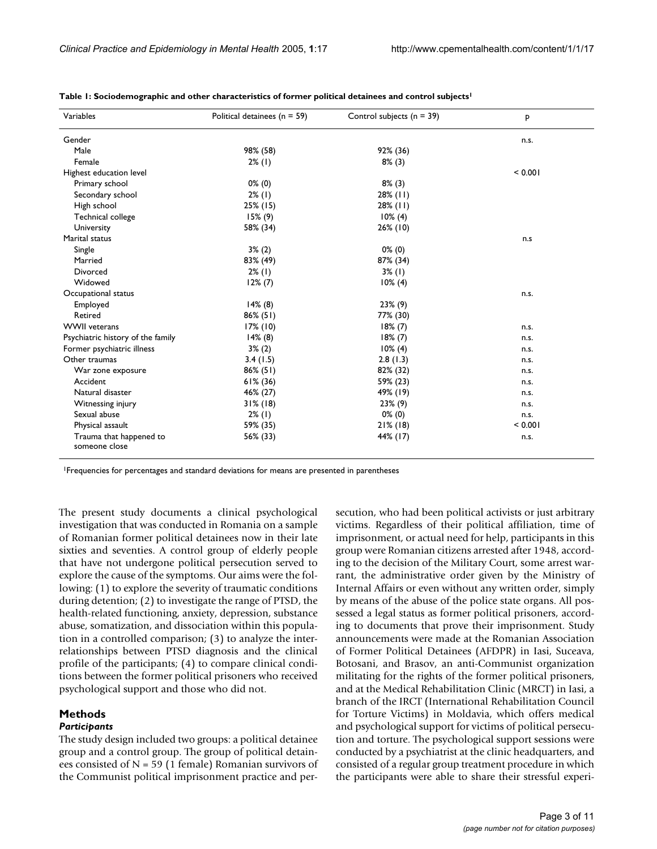| Variables                                | Political detainees ( $n = 59$ ) | Control subjects ( $n = 39$ ) | P       |
|------------------------------------------|----------------------------------|-------------------------------|---------|
| Gender                                   |                                  |                               | n.s.    |
| Male                                     | 98% (58)                         | 92% (36)                      |         |
| Female                                   | $2\%$ (1)                        | $8\%$ (3)                     |         |
| Highest education level                  |                                  |                               | < 0.001 |
| Primary school                           | $0\%$ (0)                        | $8\%$ (3)                     |         |
| Secondary school                         | $2\%$ (1)                        | $28\%$ (11)                   |         |
| High school                              | 25% (15)                         | $28\%$ (11)                   |         |
| Technical college                        | $15\%$ (9)                       | $10\%$ (4)                    |         |
| University                               | 58% (34)                         | 26% (10)                      |         |
| Marital status                           |                                  |                               | n.s     |
| Single                                   | $3\%$ (2)                        | $0\%$ (0)                     |         |
| Married                                  | 83% (49)                         | 87% (34)                      |         |
| Divorced                                 | $2\%$ (1)                        | $3\%$ (1)                     |         |
| Widowed                                  | $12\% (7)$                       | $10\%$ (4)                    |         |
| Occupational status                      |                                  |                               | n.s.    |
| Employed                                 | 14% (8)                          | $23\%$ (9)                    |         |
| Retired                                  | $86\%$ (51)                      | 77% (30)                      |         |
| <b>WWII</b> veterans                     | $17\%$ (10)                      | 18% (7)                       | n.s.    |
| Psychiatric history of the family        | 14% (8)                          | 18% (7)                       | n.s.    |
| Former psychiatric illness               | $3\%$ (2)                        | $10\%$ (4)                    | n.s.    |
| Other traumas                            | 3.4(1.5)                         | 2.8(1.3)                      | n.s.    |
| War zone exposure                        | 86% (51)                         | 82% (32)                      | n.s.    |
| Accident                                 | $61\%$ (36)                      | 59% (23)                      | n.s.    |
| Natural disaster                         | 46% (27)                         | 49% (19)                      | n.s.    |
| Witnessing injury                        | $31\%$ (18)                      | 23% (9)                       | n.s.    |
| Sexual abuse                             | $2\%$ (1)                        | $0\%$ (0)                     | n.s.    |
| Physical assault                         | 59% (35)                         | $21\%$ (18)                   | < 0.001 |
| Trauma that happened to<br>someone close | 56% (33)                         | 44% (17)                      | n.s.    |

**Table 1: Sociodemographic and other characteristics of former political detainees and control subjects1**

1Frequencies for percentages and standard deviations for means are presented in parentheses

The present study documents a clinical psychological investigation that was conducted in Romania on a sample of Romanian former political detainees now in their late sixties and seventies. A control group of elderly people that have not undergone political persecution served to explore the cause of the symptoms. Our aims were the following: (1) to explore the severity of traumatic conditions during detention; (2) to investigate the range of PTSD, the health-related functioning, anxiety, depression, substance abuse, somatization, and dissociation within this population in a controlled comparison; (3) to analyze the interrelationships between PTSD diagnosis and the clinical profile of the participants; (4) to compare clinical conditions between the former political prisoners who received psychological support and those who did not.

# **Methods**

#### *Participants*

The study design included two groups: a political detainee group and a control group. The group of political detainees consisted of  $N = 59$  (1 female) Romanian survivors of the Communist political imprisonment practice and persecution, who had been political activists or just arbitrary victims. Regardless of their political affiliation, time of imprisonment, or actual need for help, participants in this group were Romanian citizens arrested after 1948, according to the decision of the Military Court, some arrest warrant, the administrative order given by the Ministry of Internal Affairs or even without any written order, simply by means of the abuse of the police state organs. All possessed a legal status as former political prisoners, according to documents that prove their imprisonment. Study announcements were made at the Romanian Association of Former Political Detainees (AFDPR) in Iasi, Suceava, Botosani, and Brasov, an anti-Communist organization militating for the rights of the former political prisoners, and at the Medical Rehabilitation Clinic (MRCT) in Iasi, a branch of the IRCT (International Rehabilitation Council for Torture Victims) in Moldavia, which offers medical and psychological support for victims of political persecution and torture. The psychological support sessions were conducted by a psychiatrist at the clinic headquarters, and consisted of a regular group treatment procedure in which the participants were able to share their stressful experi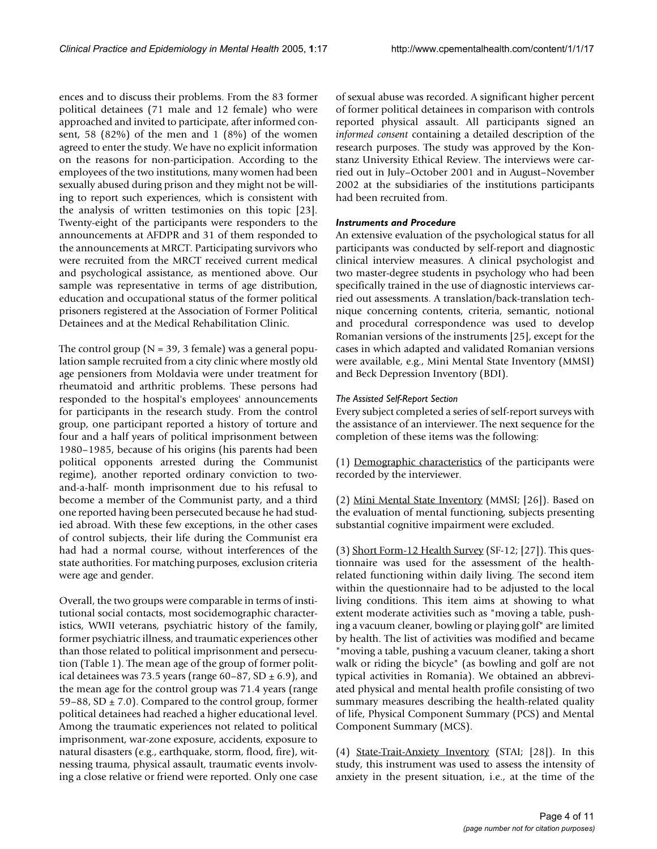ences and to discuss their problems. From the 83 former political detainees (71 male and 12 female) who were approached and invited to participate, after informed consent, 58 (82%) of the men and 1 (8%) of the women agreed to enter the study. We have no explicit information on the reasons for non-participation. According to the employees of the two institutions, many women had been sexually abused during prison and they might not be willing to report such experiences, which is consistent with the analysis of written testimonies on this topic [23]. Twenty-eight of the participants were responders to the announcements at AFDPR and 31 of them responded to the announcements at MRCT. Participating survivors who were recruited from the MRCT received current medical and psychological assistance, as mentioned above. Our sample was representative in terms of age distribution, education and occupational status of the former political prisoners registered at the Association of Former Political Detainees and at the Medical Rehabilitation Clinic.

The control group ( $N = 39$ , 3 female) was a general population sample recruited from a city clinic where mostly old age pensioners from Moldavia were under treatment for rheumatoid and arthritic problems. These persons had responded to the hospital's employees' announcements for participants in the research study. From the control group, one participant reported a history of torture and four and a half years of political imprisonment between 1980–1985, because of his origins (his parents had been political opponents arrested during the Communist regime), another reported ordinary conviction to twoand-a-half- month imprisonment due to his refusal to become a member of the Communist party, and a third one reported having been persecuted because he had studied abroad. With these few exceptions, in the other cases of control subjects, their life during the Communist era had had a normal course, without interferences of the state authorities. For matching purposes, exclusion criteria were age and gender.

Overall, the two groups were comparable in terms of institutional social contacts, most socidemographic characteristics, WWII veterans, psychiatric history of the family, former psychiatric illness, and traumatic experiences other than those related to political imprisonment and persecution (Table 1). The mean age of the group of former political detainees was 73.5 years (range  $60-87$ , SD  $\pm$  6.9), and the mean age for the control group was 71.4 years (range 59–88, SD  $\pm$  7.0). Compared to the control group, former political detainees had reached a higher educational level. Among the traumatic experiences not related to political imprisonment, war-zone exposure, accidents, exposure to natural disasters (e.g., earthquake, storm, flood, fire), witnessing trauma, physical assault, traumatic events involving a close relative or friend were reported. Only one case of sexual abuse was recorded. A significant higher percent of former political detainees in comparison with controls reported physical assault. All participants signed an *informed consent* containing a detailed description of the research purposes. The study was approved by the Konstanz University Ethical Review. The interviews were carried out in July–October 2001 and in August–November 2002 at the subsidiaries of the institutions participants had been recruited from.

### *Instruments and Procedure*

An extensive evaluation of the psychological status for all participants was conducted by self-report and diagnostic clinical interview measures. A clinical psychologist and two master-degree students in psychology who had been specifically trained in the use of diagnostic interviews carried out assessments. A translation/back-translation technique concerning contents, criteria, semantic, notional and procedural correspondence was used to develop Romanian versions of the instruments [25], except for the cases in which adapted and validated Romanian versions were available, e.g., Mini Mental State Inventory (MMSI) and Beck Depression Inventory (BDI).

# *The Assisted Self-Report Section*

Every subject completed a series of self-report surveys with the assistance of an interviewer. The next sequence for the completion of these items was the following:

(1) Demographic characteristics of the participants were recorded by the interviewer.

(2) Mini Mental State Inventory (MMSI; [26]). Based on the evaluation of mental functioning, subjects presenting substantial cognitive impairment were excluded.

(3) Short Form-12 Health Survey (SF-12; [27]). This questionnaire was used for the assessment of the healthrelated functioning within daily living. The second item within the questionnaire had to be adjusted to the local living conditions. This item aims at showing to what extent moderate activities such as "moving a table, pushing a vacuum cleaner, bowling or playing golf" are limited by health. The list of activities was modified and became "moving a table, pushing a vacuum cleaner, taking a short walk or riding the bicycle" (as bowling and golf are not typical activities in Romania). We obtained an abbreviated physical and mental health profile consisting of two summary measures describing the health-related quality of life, Physical Component Summary (PCS) and Mental Component Summary (MCS).

(4) State-Trait-Anxiety Inventory (STAI; [28]). In this study, this instrument was used to assess the intensity of anxiety in the present situation, i.e., at the time of the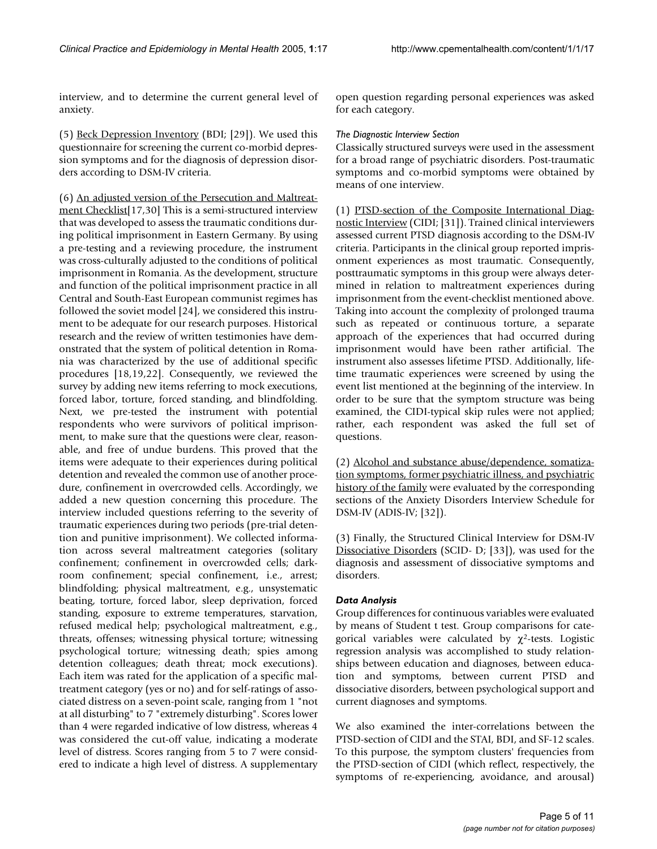interview, and to determine the current general level of anxiety.

(5) Beck Depression Inventory (BDI; [29]). We used this questionnaire for screening the current co-morbid depression symptoms and for the diagnosis of depression disorders according to DSM-IV criteria.

(6) An adjusted version of the Persecution and Maltreatment Checklist<sup>[17,30]</sup> This is a semi-structured interview that was developed to assess the traumatic conditions during political imprisonment in Eastern Germany. By using a pre-testing and a reviewing procedure, the instrument was cross-culturally adjusted to the conditions of political imprisonment in Romania. As the development, structure and function of the political imprisonment practice in all Central and South-East European communist regimes has followed the soviet model [24], we considered this instrument to be adequate for our research purposes. Historical research and the review of written testimonies have demonstrated that the system of political detention in Romania was characterized by the use of additional specific procedures [18,19,22]. Consequently, we reviewed the survey by adding new items referring to mock executions, forced labor, torture, forced standing, and blindfolding. Next, we pre-tested the instrument with potential respondents who were survivors of political imprisonment, to make sure that the questions were clear, reasonable, and free of undue burdens. This proved that the items were adequate to their experiences during political detention and revealed the common use of another procedure, confinement in overcrowded cells. Accordingly, we added a new question concerning this procedure. The interview included questions referring to the severity of traumatic experiences during two periods (pre-trial detention and punitive imprisonment). We collected information across several maltreatment categories (solitary confinement; confinement in overcrowded cells; darkroom confinement; special confinement, i.e., arrest; blindfolding; physical maltreatment, e.g., unsystematic beating, torture, forced labor, sleep deprivation, forced standing, exposure to extreme temperatures, starvation, refused medical help; psychological maltreatment, e.g., threats, offenses; witnessing physical torture; witnessing psychological torture; witnessing death; spies among detention colleagues; death threat; mock executions). Each item was rated for the application of a specific maltreatment category (yes or no) and for self-ratings of associated distress on a seven-point scale, ranging from 1 "not at all disturbing" to 7 "extremely disturbing". Scores lower than 4 were regarded indicative of low distress, whereas 4 was considered the cut-off value, indicating a moderate level of distress. Scores ranging from 5 to 7 were considered to indicate a high level of distress. A supplementary open question regarding personal experiences was asked for each category.

## *The Diagnostic Interview Section*

Classically structured surveys were used in the assessment for a broad range of psychiatric disorders. Post-traumatic symptoms and co-morbid symptoms were obtained by means of one interview.

(1) PTSD-section of the Composite International Diagnostic Interview (CIDI; [31]). Trained clinical interviewers assessed current PTSD diagnosis according to the DSM-IV criteria. Participants in the clinical group reported imprisonment experiences as most traumatic. Consequently, posttraumatic symptoms in this group were always determined in relation to maltreatment experiences during imprisonment from the event-checklist mentioned above. Taking into account the complexity of prolonged trauma such as repeated or continuous torture, a separate approach of the experiences that had occurred during imprisonment would have been rather artificial. The instrument also assesses lifetime PTSD. Additionally, lifetime traumatic experiences were screened by using the event list mentioned at the beginning of the interview. In order to be sure that the symptom structure was being examined, the CIDI-typical skip rules were not applied; rather, each respondent was asked the full set of questions.

(2) Alcohol and substance abuse/dependence, somatization symptoms, former psychiatric illness, and psychiatric history of the family were evaluated by the corresponding sections of the Anxiety Disorders Interview Schedule for DSM-IV (ADIS-IV; [32]).

(3) Finally, the Structured Clinical Interview for DSM-IV Dissociative Disorders (SCID- D; [33]), was used for the diagnosis and assessment of dissociative symptoms and disorders.

# *Data Analysis*

Group differences for continuous variables were evaluated by means of Student t test. Group comparisons for categorical variables were calculated by  $\chi^2$ -tests. Logistic regression analysis was accomplished to study relationships between education and diagnoses, between education and symptoms, between current PTSD and dissociative disorders, between psychological support and current diagnoses and symptoms.

We also examined the inter-correlations between the PTSD-section of CIDI and the STAI, BDI, and SF-12 scales. To this purpose, the symptom clusters' frequencies from the PTSD-section of CIDI (which reflect, respectively, the symptoms of re-experiencing, avoidance, and arousal)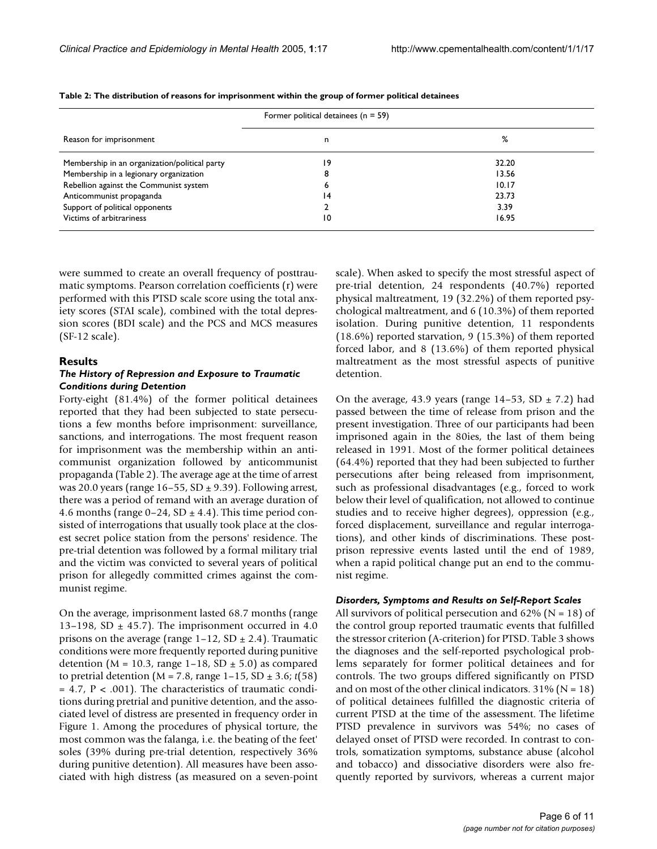|                                               | Former political detainees ( $n = 59$ ) |       |  |
|-----------------------------------------------|-----------------------------------------|-------|--|
| Reason for imprisonment                       | n                                       | %     |  |
| Membership in an organization/political party | 19                                      | 32.20 |  |
| Membership in a legionary organization        |                                         | 13.56 |  |
| Rebellion against the Communist system        |                                         | 10.17 |  |
| Anticommunist propaganda                      | 14                                      | 23.73 |  |
| Support of political opponents                |                                         | 3.39  |  |
| Victims of arbitrariness                      | 10                                      | 16.95 |  |

**Table 2: The distribution of reasons for imprisonment within the group of former political detainees**

were summed to create an overall frequency of posttraumatic symptoms. Pearson correlation coefficients (r) were performed with this PTSD scale score using the total anxiety scores (STAI scale), combined with the total depression scores (BDI scale) and the PCS and MCS measures (SF-12 scale).

#### **Results**

#### *The History of Repression and Exposure to Traumatic Conditions during Detention*

Forty-eight (81.4%) of the former political detainees reported that they had been subjected to state persecutions a few months before imprisonment: surveillance, sanctions, and interrogations. The most frequent reason for imprisonment was the membership within an anticommunist organization followed by anticommunist propaganda (Table 2). The average age at the time of arrest was 20.0 years (range  $16-55$ , SD  $\pm$  9.39). Following arrest, there was a period of remand with an average duration of 4.6 months (range  $0-24$ , SD  $\pm$  4.4). This time period consisted of interrogations that usually took place at the closest secret police station from the persons' residence. The pre-trial detention was followed by a formal military trial and the victim was convicted to several years of political prison for allegedly committed crimes against the communist regime.

On the average, imprisonment lasted 68.7 months (range 13–198, SD  $\pm$  45.7). The imprisonment occurred in 4.0 prisons on the average (range  $1-12$ , SD  $\pm$  2.4). Traumatic conditions were more frequently reported during punitive detention ( $M = 10.3$ , range 1–18, SD  $\pm$  5.0) as compared to pretrial detention ( $M = 7.8$ , range  $1-15$ ,  $SD \pm 3.6$ ;  $t(58)$ )  $= 4.7$ ,  $P < .001$ ). The characteristics of traumatic conditions during pretrial and punitive detention, and the associated level of distress are presented in frequency order in Figure [1](#page-6-0). Among the procedures of physical torture, the most common was the falanga, i.e. the beating of the feet' soles (39% during pre-trial detention, respectively 36% during punitive detention). All measures have been associated with high distress (as measured on a seven-point scale). When asked to specify the most stressful aspect of pre-trial detention, 24 respondents (40.7%) reported physical maltreatment, 19 (32.2%) of them reported psychological maltreatment, and 6 (10.3%) of them reported isolation. During punitive detention, 11 respondents (18.6%) reported starvation, 9 (15.3%) of them reported forced labor, and 8 (13.6%) of them reported physical maltreatment as the most stressful aspects of punitive detention.

On the average, 43.9 years (range  $14-53$ , SD  $\pm$  7.2) had passed between the time of release from prison and the present investigation. Three of our participants had been imprisoned again in the 80ies, the last of them being released in 1991. Most of the former political detainees (64.4%) reported that they had been subjected to further persecutions after being released from imprisonment, such as professional disadvantages (e.g., forced to work below their level of qualification, not allowed to continue studies and to receive higher degrees), oppression (e.g., forced displacement, surveillance and regular interrogations), and other kinds of discriminations. These postprison repressive events lasted until the end of 1989, when a rapid political change put an end to the communist regime.

#### *Disorders, Symptoms and Results on Self-Report Scales*

All survivors of political persecution and  $62\%$  (N = 18) of the control group reported traumatic events that fulfilled the stressor criterion (A-criterion) for PTSD. Table 3 shows the diagnoses and the self-reported psychological problems separately for former political detainees and for controls. The two groups differed significantly on PTSD and on most of the other clinical indicators.  $31\%$  (N = 18) of political detainees fulfilled the diagnostic criteria of current PTSD at the time of the assessment. The lifetime PTSD prevalence in survivors was 54%; no cases of delayed onset of PTSD were recorded. In contrast to controls, somatization symptoms, substance abuse (alcohol and tobacco) and dissociative disorders were also frequently reported by survivors, whereas a current major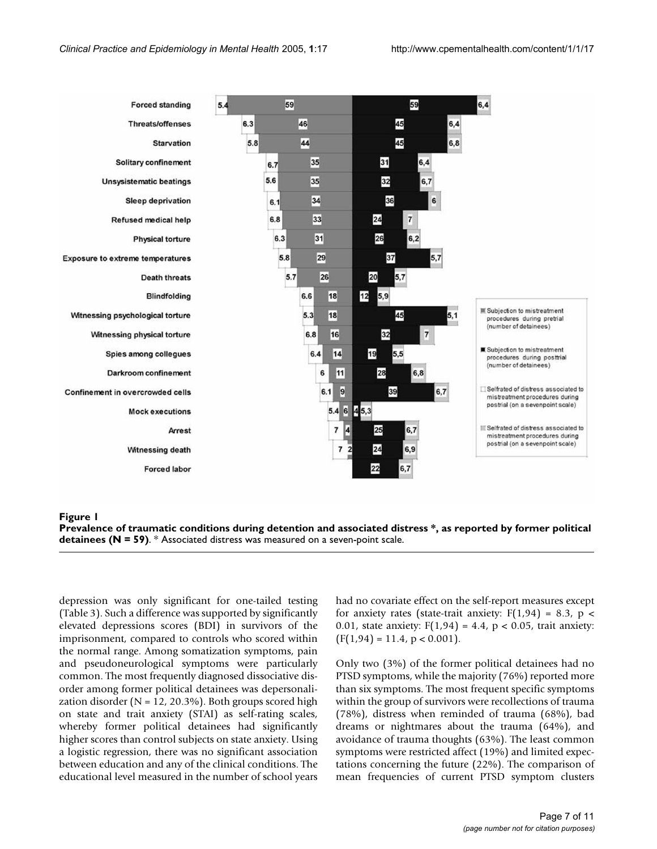<span id="page-6-0"></span>

**Prevalence of traumatic conditions during detention and associated distress \*, as reported by former political detainees (N = 59)**. \* Associated distress was measured on a seven-point scale.

depression was only significant for one-tailed testing (Table 3). Such a difference was supported by significantly elevated depressions scores (BDI) in survivors of the imprisonment, compared to controls who scored within the normal range. Among somatization symptoms, pain and pseudoneurological symptoms were particularly common. The most frequently diagnosed dissociative disorder among former political detainees was depersonalization disorder ( $N = 12$ , 20.3%). Both groups scored high on state and trait anxiety (STAI) as self-rating scales, whereby former political detainees had significantly higher scores than control subjects on state anxiety. Using a logistic regression, there was no significant association between education and any of the clinical conditions. The educational level measured in the number of school years had no covariate effect on the self-report measures except for anxiety rates (state-trait anxiety:  $F(1,94) = 8.3$ ,  $p <$ 0.01, state anxiety:  $F(1,94) = 4.4$ ,  $p < 0.05$ , trait anxiety:  $(F(1,94) = 11.4, p < 0.001).$ 

Only two (3%) of the former political detainees had no PTSD symptoms, while the majority (76%) reported more than six symptoms. The most frequent specific symptoms within the group of survivors were recollections of trauma (78%), distress when reminded of trauma (68%), bad dreams or nightmares about the trauma (64%), and avoidance of trauma thoughts (63%). The least common symptoms were restricted affect (19%) and limited expectations concerning the future (22%). The comparison of mean frequencies of current PTSD symptom clusters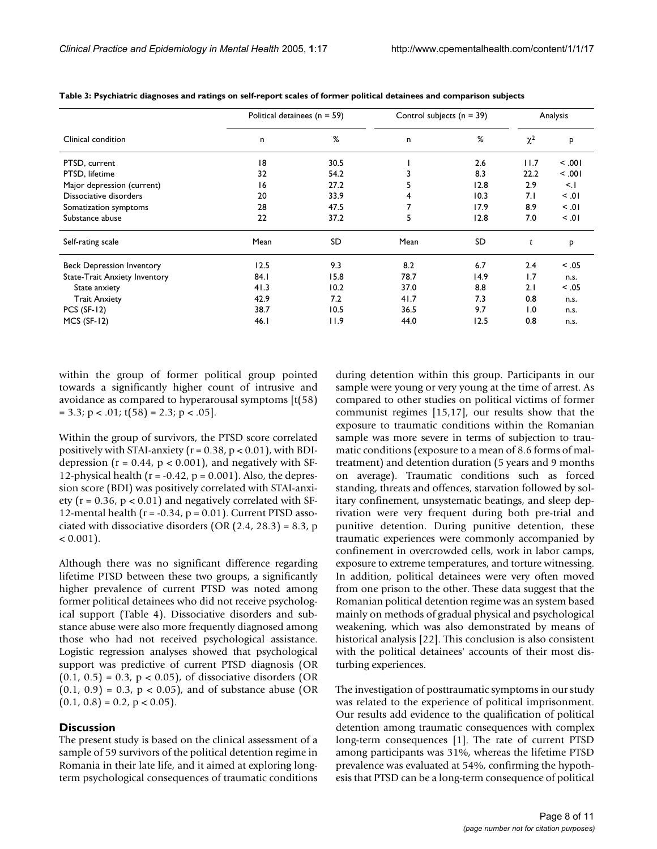|                                  | Political detainees ( $n = 59$ ) |      | Control subjects ( $n = 39$ ) |      | Analysis |          |
|----------------------------------|----------------------------------|------|-------------------------------|------|----------|----------|
| Clinical condition               | n                                | %    | n                             | %    | $\chi^2$ | P        |
| PTSD, current                    | 18                               | 30.5 |                               | 2.6  | 11.7     | 100.     |
| PTSD, lifetime                   | 32                               | 54.2 |                               | 8.3  | 22.2     | 100.     |
| Major depression (current)       | 16                               | 27.2 |                               | 12.8 | 2.9      | $\leq$ . |
| Dissociative disorders           | 20                               | 33.9 | 4                             | 10.3 | 7.1      | 10. >    |
| Somatization symptoms            | 28                               | 47.5 |                               | 17.9 | 8.9      | 10. >    |
| Substance abuse                  | 22                               | 37.2 | 5                             | 12.8 | 7.0      | 10. >    |
| Self-rating scale                | Mean                             | SD   | Mean                          | SD   | t        | P        |
| <b>Beck Depression Inventory</b> | 12.5                             | 9.3  | 8.2                           | 6.7  | 2.4      | < 0.05   |
| State-Trait Anxiety Inventory    | 84.1                             | 15.8 | 78.7                          | 14.9 | 1.7      | n.s.     |
| State anxiety                    | 41.3                             | 10.2 | 37.0                          | 8.8  | 2.1      | < 0.05   |
| <b>Trait Anxiety</b>             | 42.9                             | 7.2  | 41.7                          | 7.3  | 0.8      | n.s.     |
| $PCS (SF-12)$                    | 38.7                             | 10.5 | 36.5                          | 9.7  | 1.0      | n.s.     |
| $MCS$ (SF-12)                    | 46.1                             | 11.9 | 44.0                          | 12.5 | 0.8      | n.s.     |

**Table 3: Psychiatric diagnoses and ratings on self-report scales of former political detainees and comparison subjects**

within the group of former political group pointed towards a significantly higher count of intrusive and avoidance as compared to hyperarousal symptoms [t(58)  $= 3.3$ ; p < .01; t(58) = 2.3; p < .05].

Within the group of survivors, the PTSD score correlated positively with STAI-anxiety ( $r = 0.38$ ,  $p < 0.01$ ), with BDIdepression ( $r = 0.44$ ,  $p < 0.001$ ), and negatively with SF-12-physical health ( $r = -0.42$ ,  $p = 0.001$ ). Also, the depression score (BDI) was positively correlated with STAI-anxiety ( $r = 0.36$ ,  $p < 0.01$ ) and negatively correlated with SF-12-mental health ( $r = -0.34$ ,  $p = 0.01$ ). Current PTSD associated with dissociative disorders (OR  $(2.4, 28.3) = 8.3$ , p  $< 0.001$ ).

Although there was no significant difference regarding lifetime PTSD between these two groups, a significantly higher prevalence of current PTSD was noted among former political detainees who did not receive psychological support (Table 4). Dissociative disorders and substance abuse were also more frequently diagnosed among those who had not received psychological assistance. Logistic regression analyses showed that psychological support was predictive of current PTSD diagnosis (OR (0.1, 0.5) = 0.3,  $p < 0.05$ ), of dissociative disorders (OR  $(0.1, 0.9) = 0.3$ ,  $p < 0.05$ ), and of substance abuse (OR  $(0.1, 0.8) = 0.2, p < 0.05$ .

#### **Discussion**

The present study is based on the clinical assessment of a sample of 59 survivors of the political detention regime in Romania in their late life, and it aimed at exploring longterm psychological consequences of traumatic conditions during detention within this group. Participants in our sample were young or very young at the time of arrest. As compared to other studies on political victims of former communist regimes [15,17], our results show that the exposure to traumatic conditions within the Romanian sample was more severe in terms of subjection to traumatic conditions (exposure to a mean of 8.6 forms of maltreatment) and detention duration (5 years and 9 months on average). Traumatic conditions such as forced standing, threats and offences, starvation followed by solitary confinement, unsystematic beatings, and sleep deprivation were very frequent during both pre-trial and punitive detention. During punitive detention, these traumatic experiences were commonly accompanied by confinement in overcrowded cells, work in labor camps, exposure to extreme temperatures, and torture witnessing. In addition, political detainees were very often moved from one prison to the other. These data suggest that the Romanian political detention regime was an system based mainly on methods of gradual physical and psychological weakening, which was also demonstrated by means of historical analysis [22]. This conclusion is also consistent with the political detainees' accounts of their most disturbing experiences.

The investigation of posttraumatic symptoms in our study was related to the experience of political imprisonment. Our results add evidence to the qualification of political detention among traumatic consequences with complex long-term consequences [1]. The rate of current PTSD among participants was 31%, whereas the lifetime PTSD prevalence was evaluated at 54%, confirming the hypothesis that PTSD can be a long-term consequence of political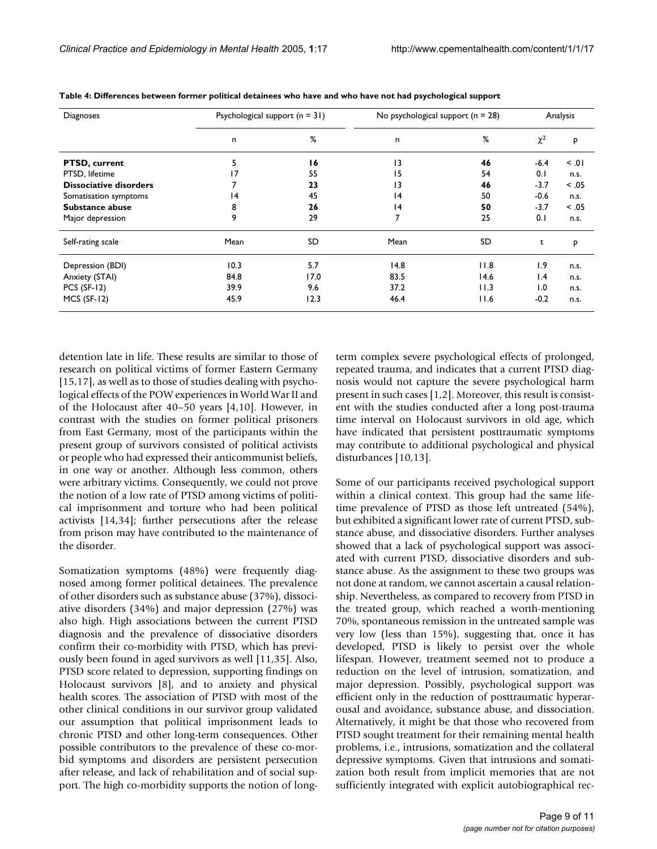| Diagnoses                     |                 | Psychological support $(n = 31)$ |                 | No psychological support $(n = 28)$ |                 | Analysis |  |
|-------------------------------|-----------------|----------------------------------|-----------------|-------------------------------------|-----------------|----------|--|
|                               | n               | %                                | n               | %                                   | $\chi^2$        | P        |  |
| <b>PTSD, current</b>          | 5.              | 16                               | 13              | 46                                  | $-6.4$          | 10. >    |  |
| PTSD, lifetime                | $\overline{17}$ | 55                               | 15              | 54                                  | 0.1             | n.s.     |  |
| <b>Dissociative disorders</b> | 7               | 23                               | 13              | 46                                  | $-3.7$          | < 0.05   |  |
| Somatisation symptoms         | $\overline{14}$ | 45                               | $\overline{14}$ | 50                                  | $-0.6$          | n.s.     |  |
| Substance abuse               | 8               | 26                               | 4               | 50                                  | $-3.7$          | < .05    |  |
| Major depression              | 9               | 29                               | 7               | 25                                  | 0.1             | n.s.     |  |
| Self-rating scale             | Mean            | SD                               | Mean            | SD                                  | t               | P        |  |
| Depression (BDI)              | 10.3            | 5.7                              | 14.8            | 11.8                                | 1.9             | n.s.     |  |
| Anxiety (STAI)                | 84.8            | 17.0                             | 83.5            | 14.6                                | $\mathsf{I}$ .4 | n.s.     |  |
| $PCS$ (SF-12)                 | 39.9            | 9.6                              | 37.2            | 11.3                                | 1.0             | n.s.     |  |
| $MCS$ (SF-12)                 | 45.9            | 12.3                             | 46.4            | 11.6                                | $-0.2$          | n.s.     |  |

**Table 4: Differences between former political detainees who have and who have not had psychological support**

detention late in life. These results are similar to those of research on political victims of former Eastern Germany [15,17], as well as to those of studies dealing with psychological effects of the POW experiences in World War II and of the Holocaust after 40–50 years [4,10]. However, in contrast with the studies on former political prisoners from East Germany, most of the participants within the present group of survivors consisted of political activists or people who had expressed their anticommunist beliefs, in one way or another. Although less common, others were arbitrary victims. Consequently, we could not prove the notion of a low rate of PTSD among victims of political imprisonment and torture who had been political activists [14,34]; further persecutions after the release from prison may have contributed to the maintenance of the disorder.

Somatization symptoms (48%) were frequently diagnosed among former political detainees. The prevalence of other disorders such as substance abuse (37%), dissociative disorders (34%) and major depression (27%) was also high. High associations between the current PTSD diagnosis and the prevalence of dissociative disorders confirm their co-morbidity with PTSD, which has previously been found in aged survivors as well [11,35]. Also, PTSD score related to depression, supporting findings on Holocaust survivors [8], and to anxiety and physical health scores. The association of PTSD with most of the other clinical conditions in our survivor group validated our assumption that political imprisonment leads to chronic PTSD and other long-term consequences. Other possible contributors to the prevalence of these co-morbid symptoms and disorders are persistent persecution after release, and lack of rehabilitation and of social support. The high co-morbidity supports the notion of longterm complex severe psychological effects of prolonged, repeated trauma, and indicates that a current PTSD diagnosis would not capture the severe psychological harm present in such cases [1,2]. Moreover, this result is consistent with the studies conducted after a long post-trauma time interval on Holocaust survivors in old age, which have indicated that persistent posttraumatic symptoms may contribute to additional psychological and physical disturbances [10,13].

Some of our participants received psychological support within a clinical context. This group had the same lifetime prevalence of PTSD as those left untreated (54%), but exhibited a significant lower rate of current PTSD, substance abuse, and dissociative disorders. Further analyses showed that a lack of psychological support was associated with current PTSD, dissociative disorders and substance abuse. As the assignment to these two groups was not done at random, we cannot ascertain a causal relationship. Nevertheless, as compared to recovery from PTSD in the treated group, which reached a worth-mentioning 70%, spontaneous remission in the untreated sample was very low (less than 15%), suggesting that, once it has developed, PTSD is likely to persist over the whole lifespan. However, treatment seemed not to produce a reduction on the level of intrusion, somatization, and major depression. Possibly, psychological support was efficient only in the reduction of posttraumatic hyperarousal and avoidance, substance abuse, and dissociation. Alternatively, it might be that those who recovered from PTSD sought treatment for their remaining mental health problems, i.e., intrusions, somatization and the collateral depressive symptoms. Given that intrusions and somatization both result from implicit memories that are not sufficiently integrated with explicit autobiographical rec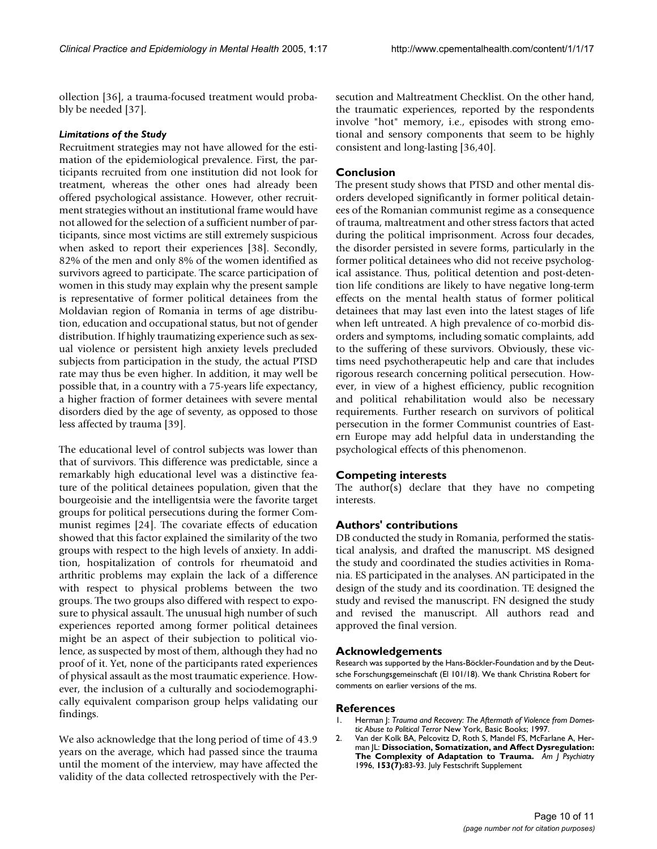ollection [36], a trauma-focused treatment would probably be needed [37].

#### *Limitations of the Study*

Recruitment strategies may not have allowed for the estimation of the epidemiological prevalence. First, the participants recruited from one institution did not look for treatment, whereas the other ones had already been offered psychological assistance. However, other recruitment strategies without an institutional frame would have not allowed for the selection of a sufficient number of participants, since most victims are still extremely suspicious when asked to report their experiences [38]. Secondly, 82% of the men and only 8% of the women identified as survivors agreed to participate. The scarce participation of women in this study may explain why the present sample is representative of former political detainees from the Moldavian region of Romania in terms of age distribution, education and occupational status, but not of gender distribution. If highly traumatizing experience such as sexual violence or persistent high anxiety levels precluded subjects from participation in the study, the actual PTSD rate may thus be even higher. In addition, it may well be possible that, in a country with a 75-years life expectancy, a higher fraction of former detainees with severe mental disorders died by the age of seventy, as opposed to those less affected by trauma [39].

The educational level of control subjects was lower than that of survivors. This difference was predictable, since a remarkably high educational level was a distinctive feature of the political detainees population, given that the bourgeoisie and the intelligentsia were the favorite target groups for political persecutions during the former Communist regimes [24]. The covariate effects of education showed that this factor explained the similarity of the two groups with respect to the high levels of anxiety. In addition, hospitalization of controls for rheumatoid and arthritic problems may explain the lack of a difference with respect to physical problems between the two groups. The two groups also differed with respect to exposure to physical assault. The unusual high number of such experiences reported among former political detainees might be an aspect of their subjection to political violence, as suspected by most of them, although they had no proof of it. Yet, none of the participants rated experiences of physical assault as the most traumatic experience. However, the inclusion of a culturally and sociodemographically equivalent comparison group helps validating our findings.

We also acknowledge that the long period of time of 43.9 years on the average, which had passed since the trauma until the moment of the interview, may have affected the validity of the data collected retrospectively with the Persecution and Maltreatment Checklist. On the other hand, the traumatic experiences, reported by the respondents involve "hot" memory, i.e., episodes with strong emotional and sensory components that seem to be highly consistent and long-lasting [36,40].

# **Conclusion**

The present study shows that PTSD and other mental disorders developed significantly in former political detainees of the Romanian communist regime as a consequence of trauma, maltreatment and other stress factors that acted during the political imprisonment. Across four decades, the disorder persisted in severe forms, particularly in the former political detainees who did not receive psychological assistance. Thus, political detention and post-detention life conditions are likely to have negative long-term effects on the mental health status of former political detainees that may last even into the latest stages of life when left untreated. A high prevalence of co-morbid disorders and symptoms, including somatic complaints, add to the suffering of these survivors. Obviously, these victims need psychotherapeutic help and care that includes rigorous research concerning political persecution. However, in view of a highest efficiency, public recognition and political rehabilitation would also be necessary requirements. Further research on survivors of political persecution in the former Communist countries of Eastern Europe may add helpful data in understanding the psychological effects of this phenomenon.

# **Competing interests**

The author(s) declare that they have no competing interests.

# **Authors' contributions**

DB conducted the study in Romania, performed the statistical analysis, and drafted the manuscript. MS designed the study and coordinated the studies activities in Romania. ES participated in the analyses. AN participated in the design of the study and its coordination. TE designed the study and revised the manuscript. FN designed the study and revised the manuscript. All authors read and approved the final version.

#### **Acknowledgements**

Research was supported by the Hans-Böckler-Foundation and by the Deutsche Forschungsgemeinschaft (El 101/18). We thank Christina Robert for comments on earlier versions of the ms.

#### **References**

- 1. Herman J: *Trauma and Recovery: The Aftermath of Violence from Domestic Abuse to Political Terror* New York, Basic Books; 1997.
- 2. Van der Kolk BA, Pelcovitz D, Roth S, Mandel FS, McFarlane A, Herman JL: **[Dissociation, Somatization, and Affect Dysregulation:](http://www.ncbi.nlm.nih.gov/entrez/query.fcgi?cmd=Retrieve&db=PubMed&dopt=Abstract&list_uids=8659645) [The Complexity of Adaptation to Trauma.](http://www.ncbi.nlm.nih.gov/entrez/query.fcgi?cmd=Retrieve&db=PubMed&dopt=Abstract&list_uids=8659645)** *Am J Psychiatry* 1996, **153(7):**83-93. July Festschrift Supplement